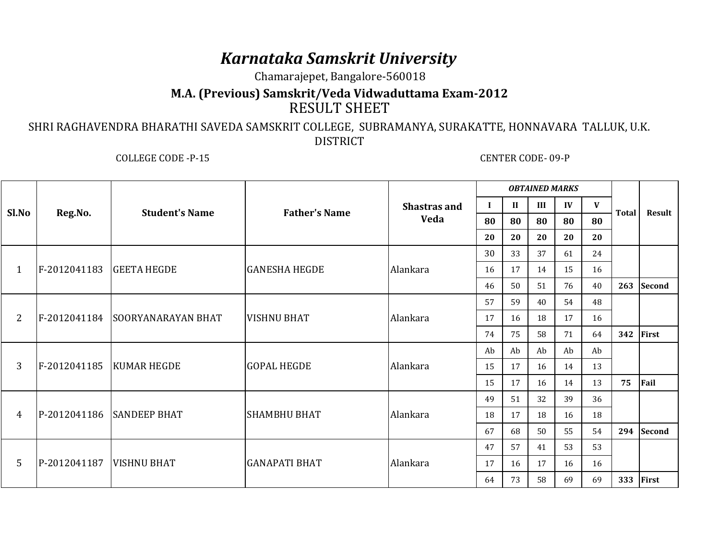## *Karnataka Samskrit University*

Chamarajepet, Bangalore-560018

## **M.A. (Previous) Samskrit/Veda Vidwaduttama Exam-2012**RESULT SHEET

 SHRI RAGHAVENDRA BHARATHI SAVEDA SAMSKRIT COLLEGE, SUBRAMANYA, SURAKATTE, HONNAVARA TALLUK, U.K. DISTRICT

COLLEGE CODE -P-15 CENTER CODE- 09-P

| Sl.No           | Reg.No.                    | <b>Student's Name</b>           | <b>Father's Name</b> | <b>Shastras and</b><br>Veda | <b>OBTAINED MARKS</b> |      |    |              |    |              |               |
|-----------------|----------------------------|---------------------------------|----------------------|-----------------------------|-----------------------|------|----|--------------|----|--------------|---------------|
|                 |                            |                                 |                      |                             | $\bf{I}$              | - II | Ш  | $\mathbf{I}$ | V  | <b>Total</b> | Result        |
|                 |                            |                                 |                      |                             | 80                    | 80   | 80 | 80           | 80 |              |               |
|                 |                            |                                 |                      |                             | 20                    | 20   | 20 | 20           | 20 |              |               |
| 1               | $F-2012041183$ GEETA HEGDE |                                 | <b>GANESHA HEGDE</b> | Alankara                    | 30                    | 33   | 37 | 61           | 24 |              |               |
|                 |                            |                                 |                      |                             | 16                    | 17   | 14 | 15           | 16 |              |               |
|                 |                            |                                 |                      |                             | 46                    | 50   | 51 | 76           | 40 | 263          | <b>Second</b> |
| 2               |                            | F-2012041184 SOORYANARAYAN BHAT | <b>VISHNU BHAT</b>   | Alankara                    | 57                    | 59   | 40 | 54           | 48 |              |               |
|                 |                            |                                 |                      |                             | 17                    | 16   | 18 | 17           | 16 |              |               |
|                 |                            |                                 |                      |                             | 74                    | 75   | 58 | 71           | 64 | 342          | First         |
| 3               | F-2012041185   KUMAR HEGDE |                                 | <b>GOPAL HEGDE</b>   | Alankara                    | Ab                    | Ab   | Ab | Ab           | Ab |              |               |
|                 |                            |                                 |                      |                             | 15                    | 17   | 16 | 14           | 13 |              |               |
|                 |                            |                                 |                      |                             | 15                    | 17   | 16 | 14           | 13 | 75           | Fail          |
| $\overline{4}$  |                            | P-2012041186 SANDEEP BHAT       | <b>SHAMBHU BHAT</b>  | Alankara                    | 49                    | 51   | 32 | 39           | 36 |              |               |
|                 |                            |                                 |                      |                             | 18                    | 17   | 18 | 16           | 18 |              |               |
|                 |                            |                                 |                      |                             | 67                    | 68   | 50 | 55           | 54 | 294          | Second        |
| $5\overline{)}$ | P-2012041187               | <b>VISHNU BHAT</b>              | <b>GANAPATI BHAT</b> | Alankara                    | 47                    | 57   | 41 | 53           | 53 |              |               |
|                 |                            |                                 |                      |                             | 17                    | 16   | 17 | 16           | 16 |              |               |
|                 |                            |                                 |                      |                             | 64                    | 73   | 58 | 69           | 69 | 333          | First         |